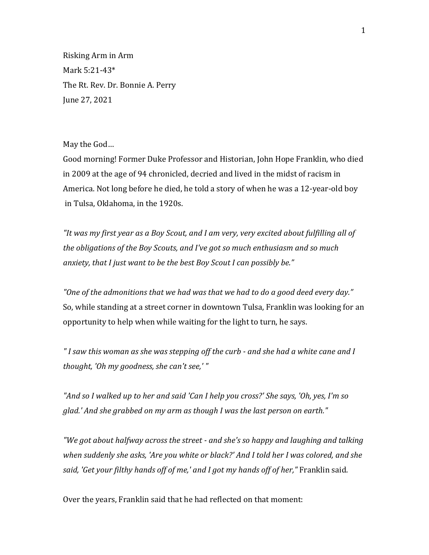Risking Arm in Arm Mark 5:21-43\* The Rt. Rev. Dr. Bonnie A. Perry June 27, 2021

May the God…

Good morning! Former Duke Professor and Historian, John Hope Franklin, who died in 2009 at the age of 94 chronicled, decried and lived in the midst of racism in America. Not long before he died, he told a story of when he was a 12-year-old boy in Tulsa, Oklahoma, in the 1920s.

*"It was my first year as a Boy Scout, and I am very, very excited about fulfilling all of the obligations of the Boy Scouts, and I've got so much enthusiasm and so much anxiety, that I just want to be the best Boy Scout I can possibly be."* 

*"One of the admonitions that we had was that we had to do a good deed every day."* So, while standing at a street corner in downtown Tulsa, Franklin was looking for an opportunity to help when while waiting for the light to turn, he says.

*" I saw this woman as she was stepping off the curb - and she had a white cane and I thought, 'Oh my goodness, she can't see,' "*

*"And so I walked up to her and said 'Can I help you cross?' She says, 'Oh, yes, I'm so glad.' And she grabbed on my arm as though I was the last person on earth."*

*"We got about halfway across the street - and she's so happy and laughing and talking when suddenly she asks, 'Are you white or black?' And I told her I was colored, and she said, 'Get your filthy hands off of me,' and I got my hands off of her,"* Franklin said.

Over the years, Franklin said that he had reflected on that moment: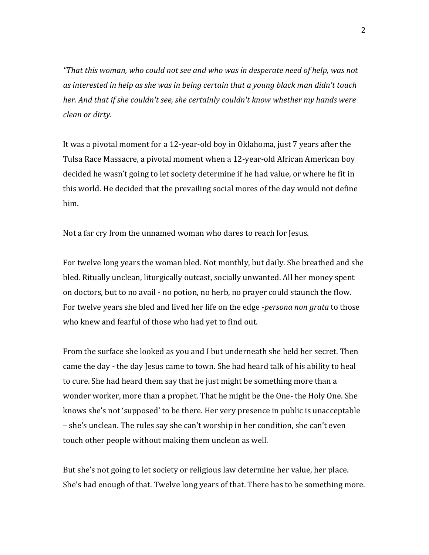*"That this woman, who could not see and who was in desperate need of help, was not as interested in help as she was in being certain that a young black man didn't touch her. And that if she couldn't see, she certainly couldn't know whether my hands were clean or dirty.* 

It was a pivotal moment for a 12-year-old boy in Oklahoma, just 7 years after the Tulsa Race Massacre, a pivotal moment when a 12-year-old African American boy decided he wasn't going to let society determine if he had value, or where he fit in this world. He decided that the prevailing social mores of the day would not define him.

Not a far cry from the unnamed woman who dares to reach for Jesus.

For twelve long years the woman bled. Not monthly, but daily. She breathed and she bled. Ritually unclean, liturgically outcast, socially unwanted. All her money spent on doctors, but to no avail - no potion, no herb, no prayer could staunch the flow. For twelve years she bled and lived her life on the edge -*persona non grata* to those who knew and fearful of those who had yet to find out.

From the surface she looked as you and I but underneath she held her secret. Then came the day - the day Jesus came to town. She had heard talk of his ability to heal to cure. She had heard them say that he just might be something more than a wonder worker, more than a prophet. That he might be the One- the Holy One. She knows she's not 'supposed' to be there. Her very presence in public is unacceptable – she's unclean. The rules say she can't worship in her condition, she can't even touch other people without making them unclean as well.

But she's not going to let society or religious law determine her value, her place. She's had enough of that. Twelve long years of that. There has to be something more.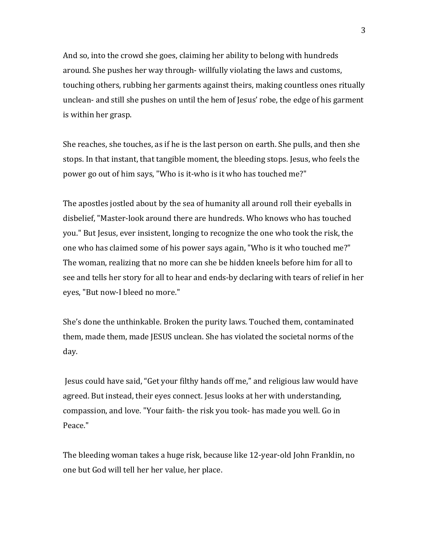And so, into the crowd she goes, claiming her ability to belong with hundreds around. She pushes her way through- willfully violating the laws and customs, touching others, rubbing her garments against theirs, making countless ones ritually unclean- and still she pushes on until the hem of Jesus' robe, the edge of his garment is within her grasp.

She reaches, she touches, as if he is the last person on earth. She pulls, and then she stops. In that instant, that tangible moment, the bleeding stops. Jesus, who feels the power go out of him says, "Who is it-who is it who has touched me?"

The apostles jostled about by the sea of humanity all around roll their eyeballs in disbelief, "Master-look around there are hundreds. Who knows who has touched you." But Jesus, ever insistent, longing to recognize the one who took the risk, the one who has claimed some of his power says again, "Who is it who touched me?" The woman, realizing that no more can she be hidden kneels before him for all to see and tells her story for all to hear and ends-by declaring with tears of relief in her eyes, "But now-I bleed no more."

She's done the unthinkable. Broken the purity laws. Touched them, contaminated them, made them, made JESUS unclean. She has violated the societal norms of the day.

Jesus could have said, "Get your filthy hands off me," and religious law would have agreed. But instead, their eyes connect. Jesus looks at her with understanding, compassion, and love. "Your faith- the risk you took- has made you well. Go in Peace."

The bleeding woman takes a huge risk, because like 12-year-old John Franklin, no one but God will tell her her value, her place.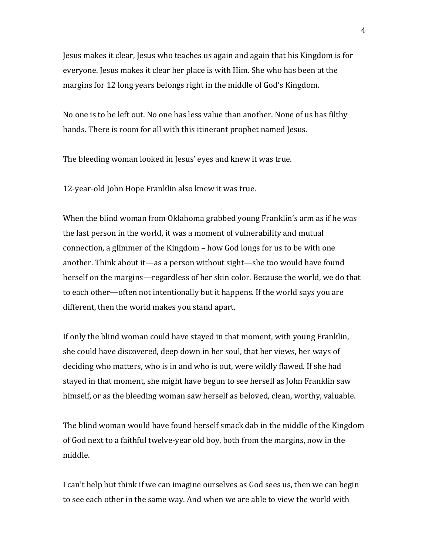Jesus makes it clear, Jesus who teaches us again and again that his Kingdom is for everyone. Jesus makes it clear her place is with Him. She who has been at the margins for 12 long years belongs right in the middle of God's Kingdom.

No one is to be left out. No one has less value than another. None of us has filthy hands. There is room for all with this itinerant prophet named Jesus.

The bleeding woman looked in Jesus' eyes and knew it was true.

12-year-old John Hope Franklin also knew it was true.

When the blind woman from Oklahoma grabbed young Franklin's arm as if he was the last person in the world, it was a moment of vulnerability and mutual connection, a glimmer of the Kingdom – how God longs for us to be with one another. Think about it—as a person without sight—she too would have found herself on the margins—regardless of her skin color. Because the world, we do that to each other—often not intentionally but it happens. If the world says you are different, then the world makes you stand apart.

If only the blind woman could have stayed in that moment, with young Franklin, she could have discovered, deep down in her soul, that her views, her ways of deciding who matters, who is in and who is out, were wildly flawed. If she had stayed in that moment, she might have begun to see herself as John Franklin saw himself, or as the bleeding woman saw herself as beloved, clean, worthy, valuable.

The blind woman would have found herself smack dab in the middle of the Kingdom of God next to a faithful twelve-year old boy, both from the margins, now in the middle.

I can't help but think if we can imagine ourselves as God sees us, then we can begin to see each other in the same way. And when we are able to view the world with